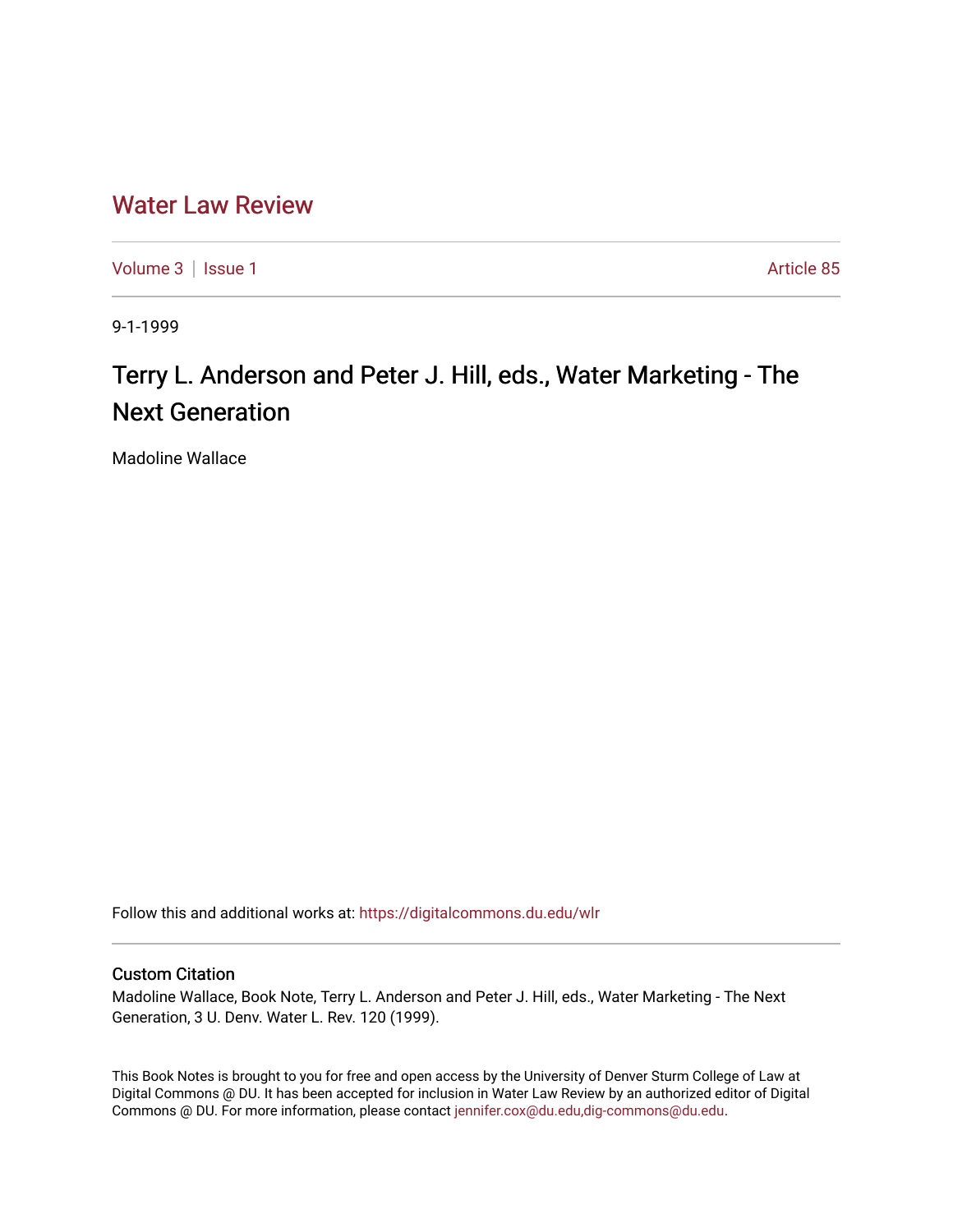## [Water Law Review](https://digitalcommons.du.edu/wlr)

[Volume 3](https://digitalcommons.du.edu/wlr/vol3) | [Issue 1](https://digitalcommons.du.edu/wlr/vol3/iss1) Article 85

9-1-1999

## Terry L. Anderson and Peter J. Hill, eds., Water Marketing - The Next Generation

Madoline Wallace

Follow this and additional works at: [https://digitalcommons.du.edu/wlr](https://digitalcommons.du.edu/wlr?utm_source=digitalcommons.du.edu%2Fwlr%2Fvol3%2Fiss1%2F85&utm_medium=PDF&utm_campaign=PDFCoverPages) 

## Custom Citation

Madoline Wallace, Book Note, Terry L. Anderson and Peter J. Hill, eds., Water Marketing - The Next Generation, 3 U. Denv. Water L. Rev. 120 (1999).

This Book Notes is brought to you for free and open access by the University of Denver Sturm College of Law at Digital Commons @ DU. It has been accepted for inclusion in Water Law Review by an authorized editor of Digital Commons @ DU. For more information, please contact [jennifer.cox@du.edu,dig-commons@du.edu.](mailto:jennifer.cox@du.edu,dig-commons@du.edu)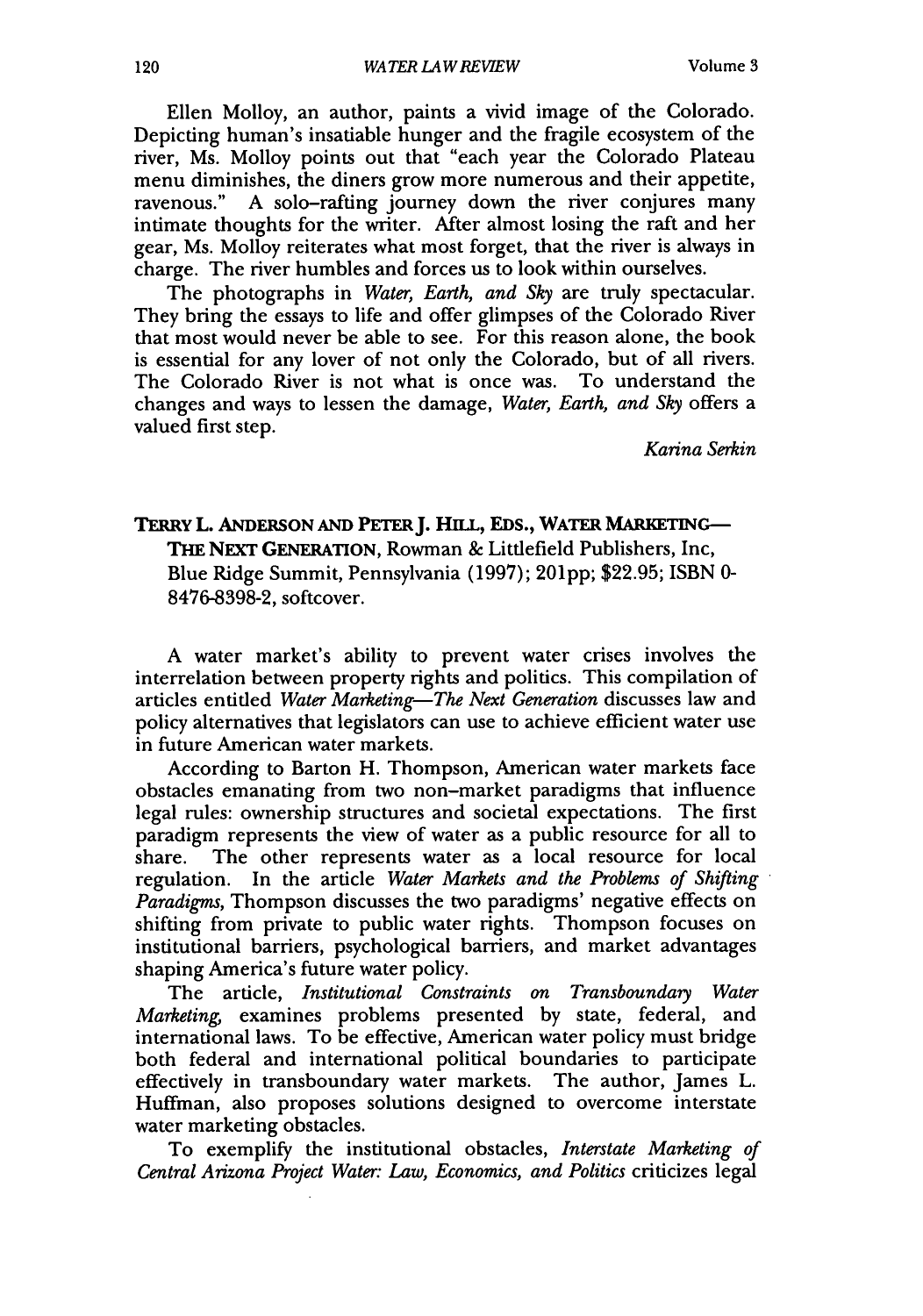Ellen Molloy, an author, paints a vivid image of the Colorado. Depicting human's insatiable hunger and the fragile ecosystem of the river, Ms. Molloy points out that "each year the Colorado Plateau menu diminishes, the diners grow more numerous and their appetite, ravenous." A solo-rafting journey down the river conjures many intimate thoughts for the writer. After almost losing the raft and her gear, Ms. Molloy reiterates what most forget, that the river is always in charge. The river humbles and forces us to look within ourselves.

The photographs in *Water, Earth, and Sky* are truly spectacular. They bring the essays to life and offer glimpses of the Colorado River that most would never be able to see. For this reason alone, the book is essential for any lover of not only the Colorado, but of all rivers. The Colorado River is not what is once was. To understand the changes and ways to lessen the damage, *Water, Earth, and Sky* offers a valued first step.

*Karina Serkin*

## TERRY L. ANDERSON AND PETER J. HILL, EDS., WATER MARKETING-**THE NEXT** GENERATION, Rowman **&** Littlefield Publishers, Inc, Blue Ridge Summit, Pennsylvania **(1997); 201pp; \$22.95;** ISBN **0- 8476-8398-2,** softcover.

**A** water market's ability to prevent water crises involves the interrelation between property rights and politics. This compilation of articles entitled *Water Marketing-The Next Generation* discusses law and policy alternatives that legislators can use to achieve efficient water use in future American water markets.

According to Barton H. Thompson, American water markets face obstacles emanating from two non-market paradigms that influence legal rules: ownership structures and societal expectations. The first paradigm represents the view of water as a public resource for all to share. The other represents water as a local resource for local regulation. In the article *Water Markets and the Problems of Shifting Paradigms,* Thompson discusses the two paradigms' negative effects on shifting from private to public water rights. Thompson focuses on institutional barriers, psychological barriers, and market advantages shaping America's future water policy.

The article, *Institutional Constraints on Transboundary Water Marketing,* examines problems presented by state, federal, and international laws. To be effective, American water policy must bridge both federal and international political boundaries to participate effectively in transboundary water markets. The author, James L. Huffman, also proposes solutions designed to overcome interstate water marketing obstacles.

To exemplify the institutional obstacles, *Interstate Marketing of Central Arizona Project Water: Law, Economics, and Politics* criticizes legal